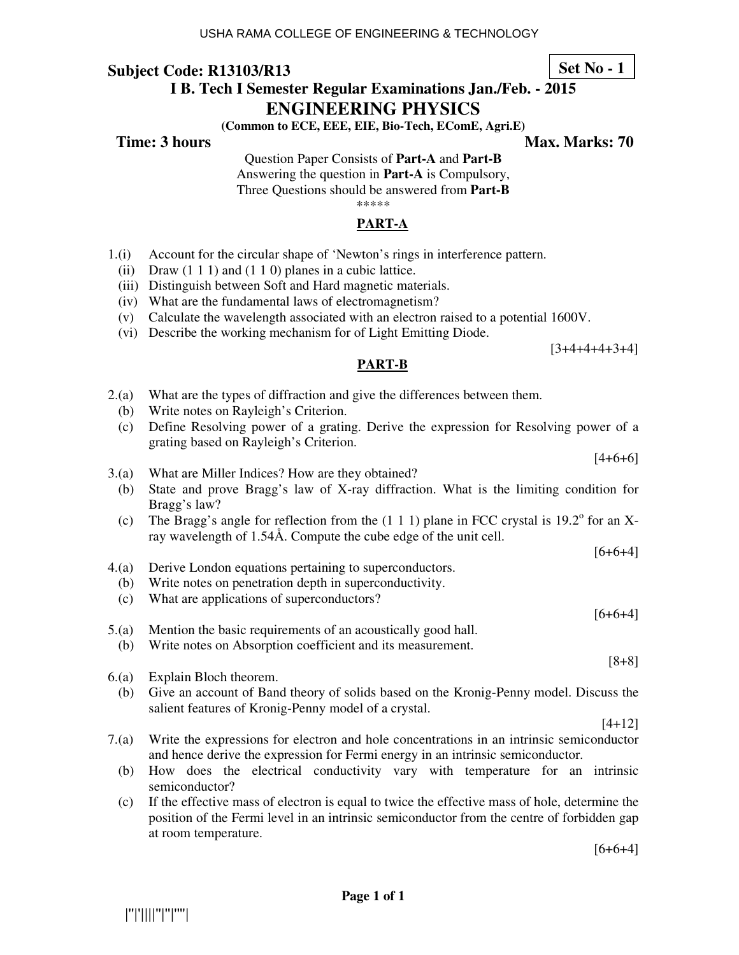# **I B. Tech I Semester Regular Examinations Jan./Feb. - 2015**

### **ENGINEERING PHYSICS**

**(Common to ECE, EEE, EIE, Bio-Tech, EComE, Agri.E)** 

**Time: 3 hours Max. Marks: 70 Max. Marks: 70** 

Question Paper Consists of **Part-A** and **Part-B**

Answering the question in **Part-A** is Compulsory, Three Questions should be answered from **Part-B**

\*\*\*\*\*

## **PART-A**

- 1.(i) Account for the circular shape of 'Newton's rings in interference pattern.
	- (ii) Draw  $(1\ 1\ 1)$  and  $(1\ 1\ 0)$  planes in a cubic lattice.
	- (iii) Distinguish between Soft and Hard magnetic materials.
	- (iv) What are the fundamental laws of electromagnetism?
	- (v) Calculate the wavelength associated with an electron raised to a potential 1600V.
	- (vi) Describe the working mechanism for of Light Emitting Diode.

[3+4+4+4+3+4]

 $[4+6+6]$ 

 $[6+6+4]$ 

 $[6+6+4]$ 

#### **PART-B**

- 2.(a) What are the types of diffraction and give the differences between them.
- (b) Write notes on Rayleigh's Criterion.
- (c) Define Resolving power of a grating. Derive the expression for Resolving power of a grating based on Rayleigh's Criterion.
- 3.(a) What are Miller Indices? How are they obtained?
	- (b) State and prove Bragg's law of X-ray diffraction. What is the limiting condition for Bragg's law?
- (c) The Bragg's angle for reflection from the  $(1\ 1\ 1)$  plane in FCC crystal is 19.2° for an Xray wavelength of 1.54Å. Compute the cube edge of the unit cell.
- 4.(a) Derive London equations pertaining to superconductors.
- (b) Write notes on penetration depth in superconductivity.
- (c) What are applications of superconductors?
- 5.(a) Mention the basic requirements of an acoustically good hall.
	- (b) Write notes on Absorption coefficient and its measurement.
- 6.(a) Explain Bloch theorem.
	- (b) Give an account of Band theory of solids based on the Kronig-Penny model. Discuss the salient features of Kronig-Penny model of a crystal.
		- [4+12]

[8+8]

- 7.(a) Write the expressions for electron and hole concentrations in an intrinsic semiconductor and hence derive the expression for Fermi energy in an intrinsic semiconductor.
	- (b) How does the electrical conductivity vary with temperature for an intrinsic semiconductor?
	- (c) If the effective mass of electron is equal to twice the effective mass of hole, determine the position of the Fermi level in an intrinsic semiconductor from the centre of forbidden gap at room temperature.

 $[6+6+4]$ 



**Set No - 1**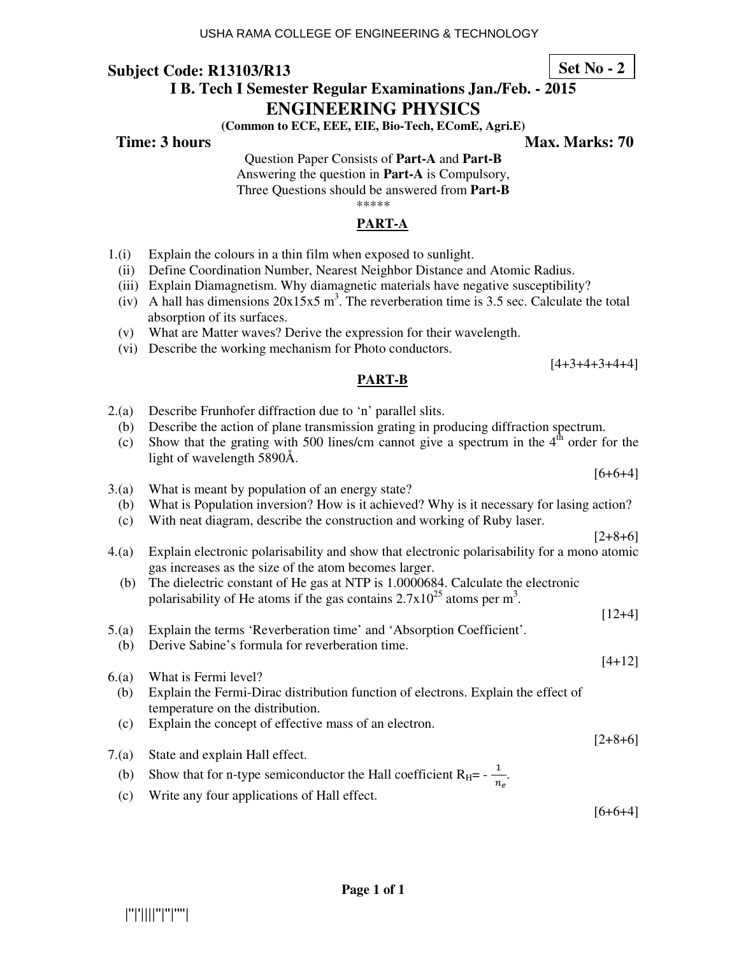# **I B. Tech I Semester Regular Examinations Jan./Feb. - 2015**

## **ENGINEERING PHYSICS**

**(Common to ECE, EEE, EIE, Bio-Tech, EComE, Agri.E)** 

## **Time: 3 hours Max. Marks: 70 Max. Marks: 70**

Question Paper Consists of **Part-A** and **Part-B** Answering the question in **Part-A** is Compulsory,

Three Questions should be answered from **Part-B**

\*\*\*\*\*

## **PART-A**

- 1.(i) Explain the colours in a thin film when exposed to sunlight.
	- (ii) Define Coordination Number, Nearest Neighbor Distance and Atomic Radius.
	- (iii) Explain Diamagnetism. Why diamagnetic materials have negative susceptibility?
- (iv) A hall has dimensions  $20x15x5$  m<sup>3</sup>. The reverberation time is 3.5 sec. Calculate the total absorption of its surfaces.
	- (v) What are Matter waves? Derive the expression for their wavelength.
	- (vi) Describe the working mechanism for Photo conductors.

 $[4+3+4+3+4+4]$ 

[6+6+4]

 $[2+8+6]$ 

[12+4]

[4+12]

#### **PART-B**

- 2.(a) Describe Frunhofer diffraction due to 'n' parallel slits.
	- (b) Describe the action of plane transmission grating in producing diffraction spectrum.
	- (c) Show that the grating with 500 lines/cm cannot give a spectrum in the  $4<sup>th</sup>$  order for the light of wavelength 5890Å.
- 3.(a) What is meant by population of an energy state?
- (b) What is Population inversion? How is it achieved? Why is it necessary for lasing action?
- (c) With neat diagram, describe the construction and working of Ruby laser.
- 4.(a) Explain electronic polarisability and show that electronic polarisability for a mono atomic gas increases as the size of the atom becomes larger.
	- (b) The dielectric constant of He gas at NTP is 1.0000684. Calculate the electronic polarisability of He atoms if the gas contains  $2.7 \times 10^{25}$  atoms per m<sup>3</sup>.
- 5.(a) Explain the terms 'Reverberation time' and 'Absorption Coefficient'.
	- (b) Derive Sabine's formula for reverberation time.
- 6.(a) What is Fermi level? (b) Explain the Fermi-Dirac distribution function of electrons. Explain the effect of temperature on the distribution.
	- (c) Explain the concept of effective mass of an electron.
- 7.(a) State and explain Hall effect.
- (b) Show that for n-type semiconductor the Hall coefficient  $R_H = -\frac{1}{n}$  $\frac{1}{n_e}$ .
	- (c) Write any four applications of Hall effect.

 $[6+6+4]$ 

 $[2+8+6]$ 

**Set No - 2**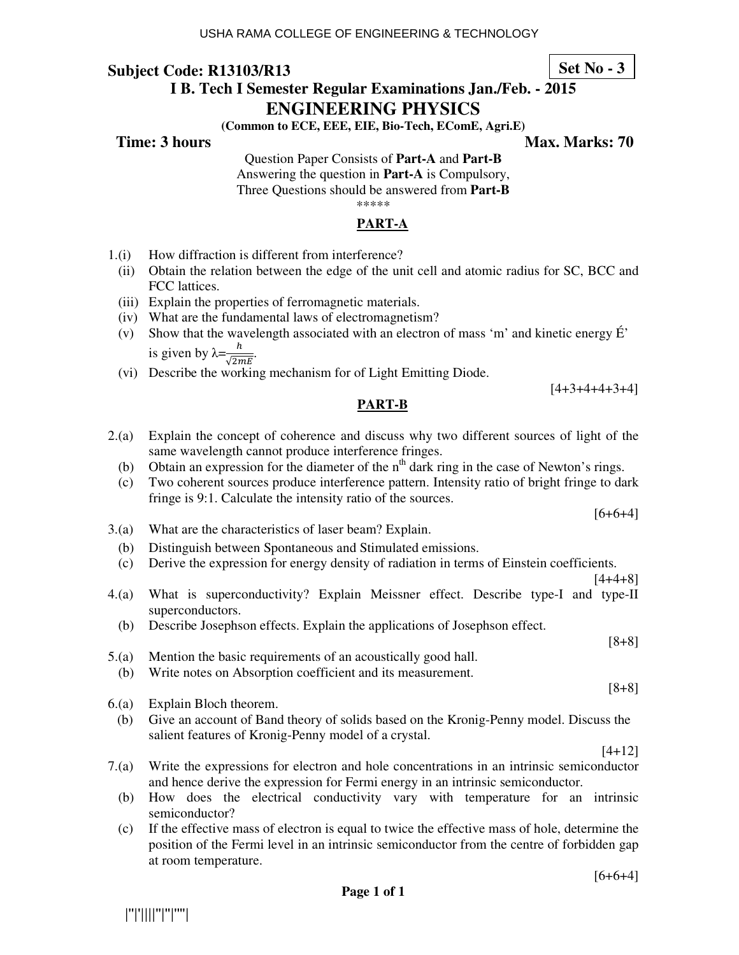# **I B. Tech I Semester Regular Examinations Jan./Feb. - 2015**

## **ENGINEERING PHYSICS**

**(Common to ECE, EEE, EIE, Bio-Tech, EComE, Agri.E)** 

# Question Paper Consists of **Part-A** and **Part-B**

Answering the question in **Part-A** is Compulsory, Three Questions should be answered from **Part-B**

\*\*\*\*\*

## **PART-A**

- 1.(i) How diffraction is different from interference?
	- (ii) Obtain the relation between the edge of the unit cell and atomic radius for SC, BCC and FCC lattices.
	- (iii) Explain the properties of ferromagnetic materials.
	- (iv) What are the fundamental laws of electromagnetism?
- (v) Show that the wavelength associated with an electron of mass 'm' and kinetic energy É' is given by  $\lambda = \frac{h}{\sqrt{2\pi}}$  $\frac{n}{\sqrt{2mE}}$ .
	- (vi) Describe the working mechanism for of Light Emitting Diode.

## **PART-B**

- 2.(a) Explain the concept of coherence and discuss why two different sources of light of the same wavelength cannot produce interference fringes.
	- (b) Obtain an expression for the diameter of the  $n<sup>th</sup>$  dark ring in the case of Newton's rings.
	- (c) Two coherent sources produce interference pattern. Intensity ratio of bright fringe to dark fringe is 9:1. Calculate the intensity ratio of the sources.
- 3.(a) What are the characteristics of laser beam? Explain.
	- (b) Distinguish between Spontaneous and Stimulated emissions.
	- (c) Derive the expression for energy density of radiation in terms of Einstein coefficients.

[4+4+8]

[8+8]

[8+8]

 $[6+6+4]$ 

[4+3+4+4+3+4]

- 4.(a) What is superconductivity? Explain Meissner effect. Describe type-I and type-II superconductors.
	- (b) Describe Josephson effects. Explain the applications of Josephson effect.
- 5.(a) Mention the basic requirements of an acoustically good hall.
	- (b) Write notes on Absorption coefficient and its measurement.
- 6.(a) Explain Bloch theorem.

|''|'||||''|''|''''|

(b) Give an account of Band theory of solids based on the Kronig-Penny model. Discuss the salient features of Kronig-Penny model of a crystal.

[4+12]

- 7.(a) Write the expressions for electron and hole concentrations in an intrinsic semiconductor and hence derive the expression for Fermi energy in an intrinsic semiconductor.
	- (b) How does the electrical conductivity vary with temperature for an intrinsic semiconductor?
	- (c) If the effective mass of electron is equal to twice the effective mass of hole, determine the position of the Fermi level in an intrinsic semiconductor from the centre of forbidden gap at room temperature.

**Page 1 of 1** 

**Time: 3 hours Max. Marks: 70 Max. Marks: 70** 

**Set No - 3**